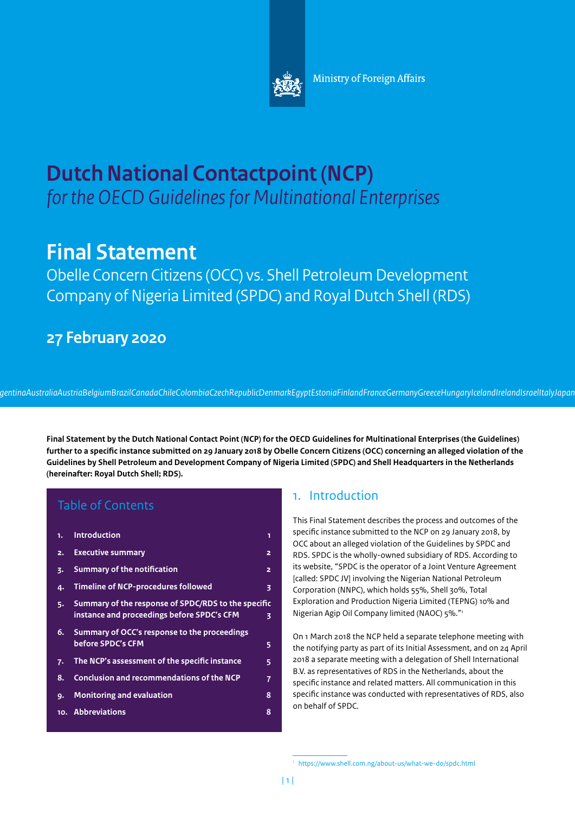

# **Dutch National Contactpoint (NCP)**  *for the OECD Guidelines for Multinational Enterprises*

# **Final Statement**

Obelle Concern Citizens (OCC) vs. Shell Petroleum Development Company of Nigeria Limited (SPDC) and Royal Dutch Shell (RDS)

## **27 February 2020**

*ArgentinaAustraliaAustriaBelgiumBrazilCanadaChileColombiaCzechRepublicDenmarkEgyptEstoniaFinlandFranceGermanyGreeceHungaryIcelandIrelandIsraelItalyJapan Korea Latvia National Contact Point*

**Final Statement by the Dutch National Contact Point (NCP) for the OECD Guidelines for Multinational Enterprises (the Guidelines) further to a specific instance submitted on 29 January 2018 by Obelle Concern Citizens (OCC) concerning an alleged violation of the Guidelines by Shell Petroleum and Development Company of Nigeria Limited (SPDC) and Shell Headquarters in the Netherlands (hereinafter: Royal Dutch Shell; RDS).** 

### Table of Contents

| 1. | <b>Introduction</b>                                                                                    | 1              |
|----|--------------------------------------------------------------------------------------------------------|----------------|
| 2. | <b>Executive summary</b>                                                                               | 2              |
| 3. | Summary of the notification                                                                            | $\overline{a}$ |
| 4. | <b>Timeline of NCP-procedures followed</b>                                                             | 3              |
| 5. | Summary of the response of SPDC/RDS to the specific<br>instance and proceedings before SPDC's CFM<br>3 |                |
| 6. | Summary of OCC's response to the proceedings<br>before SPDC's CFM                                      | 5              |
| 7. | The NCP's assessment of the specific instance                                                          | 5              |
| 8. | <b>Conclusion and recommendations of the NCP</b>                                                       | 7              |
| 9. | <b>Monitoring and evaluation</b>                                                                       | 8              |
|    | 10. Abbreviations                                                                                      | 8              |
|    |                                                                                                        |                |

### 1. Introduction

This Final Statement describes the process and outcomes of the specific instance submitted to the NCP on 29 January 2018, by OCC about an alleged violation of the Guidelines by SPDC and RDS. SPDC is the wholly-owned subsidiary of RDS. According to its website, "SPDC is the operator of a Joint Venture Agreement [called: SPDC JV] involving the Nigerian National Petroleum Corporation (NNPC), which holds 55%, Shell 30%, Total Exploration and Production Nigeria Limited (TEPNG) 10% and Nigerian Agip Oil Company limited (NAOC) 5%."1

On 1 March 2018 the NCP held a separate telephone meeting with the notifying party as part of its Initial Assessment, and on 24 April 2018 a separate meeting with a delegation of Shell International B.V. as representatives of RDS in the Netherlands, about the specific instance and related matters. All communication in this specific instance was conducted with representatives of RDS, also on behalf of SPDC.

<sup>1</sup> <https://www.shell.com.ng/about-us/what-we-do/spdc.html>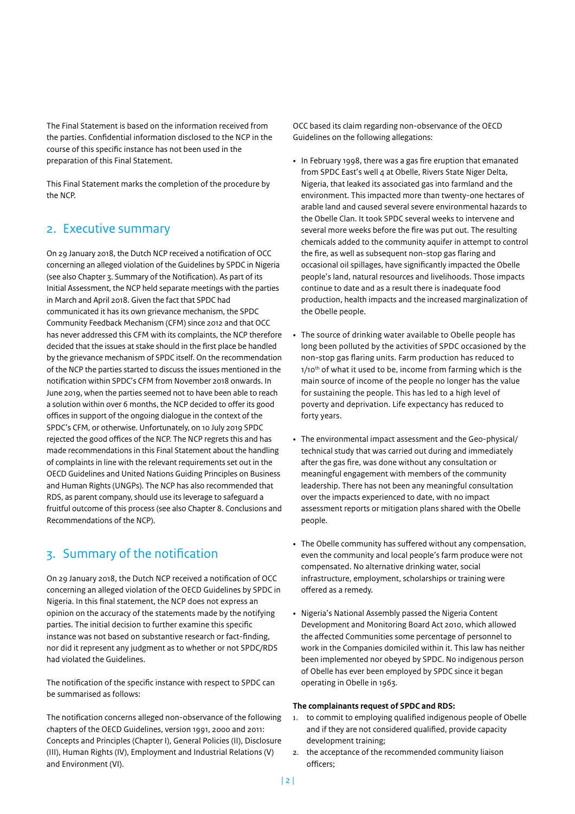<span id="page-1-0"></span>The Final Statement is based on the information received from the parties. Confidential information disclosed to the NCP in the course of this specific instance has not been used in the preparation of this Final Statement.

This Final Statement marks the completion of the procedure by the NCP.

#### 2. Executive summary

On 29 January 2018, the Dutch NCP received a notification of OCC concerning an alleged violation of the Guidelines by SPDC in Nigeria (see also Chapter 3. Summary of the Notification). As part of its Initial Assessment, the NCP held separate meetings with the parties in March and April 2018. Given the fact that SPDC had communicated it has its own grievance mechanism, the SPDC Community Feedback Mechanism (CFM) since 2012 and that OCC has never addressed this CFM with its complaints, the NCP therefore decided that the issues at stake should in the first place be handled by the grievance mechanism of SPDC itself. On the recommendation of the NCP the parties started to discuss the issues mentioned in the notification within SPDC's CFM from November 2018 onwards. In June 2019, when the parties seemed not to have been able to reach a solution within over 6 months, the NCP decided to offer its good offices in support of the ongoing dialogue in the context of the SPDC's CFM, or otherwise. Unfortunately, on 10 July 2019 SPDC rejected the good offices of the NCP. The NCP regrets this and has made recommendations in this Final Statement about the handling of complaints in line with the relevant requirements set out in the OECD Guidelines and United Nations Guiding Principles on Business and Human Rights (UNGPs). The NCP has also recommended that RDS, as parent company, should use its leverage to safeguard a fruitful outcome of this process (see also Chapter 8. Conclusions and Recommendations of the NCP).

### 3. Summary of the notification

On 29 January 2018, the Dutch NCP received a notification of OCC concerning an alleged violation of the OECD Guidelines by SPDC in Nigeria. In this final statement, the NCP does not express an opinion on the accuracy of the statements made by the notifying parties. The initial decision to further examine this specific instance was not based on substantive research or fact-finding, nor did it represent any judgment as to whether or not SPDC/RDS had violated the Guidelines.

The notification of the specific instance with respect to SPDC can be summarised as follows:

The notification concerns alleged non-observance of the following chapters of the OECD Guidelines, version 1991, 2000 and 2011: Concepts and Principles (Chapter I), General Policies (II), Disclosure (III), Human Rights (IV), Employment and Industrial Relations (V) and Environment (VI).

OCC based its claim regarding non-observance of the OECD Guidelines on the following allegations:

- In February 1998, there was a gas fire eruption that emanated from SPDC East's well 4 at Obelle, Rivers State Niger Delta, Nigeria, that leaked its associated gas into farmland and the environment. This impacted more than twenty-one hectares of arable land and caused several severe environmental hazards to the Obelle Clan. It took SPDC several weeks to intervene and several more weeks before the fire was put out. The resulting chemicals added to the community aquifer in attempt to control the fire, as well as subsequent non-stop gas flaring and occasional oil spillages, have significantly impacted the Obelle people's land, natural resources and livelihoods. Those impacts continue to date and as a result there is inadequate food production, health impacts and the increased marginalization of the Obelle people.
- The source of drinking water available to Obelle people has long been polluted by the activities of SPDC occasioned by the non-stop gas flaring units. Farm production has reduced to 1/10<sup>th</sup> of what it used to be, income from farming which is the main source of income of the people no longer has the value for sustaining the people. This has led to a high level of poverty and deprivation. Life expectancy has reduced to forty years.
- The environmental impact assessment and the Geo-physical/ technical study that was carried out during and immediately after the gas fire, was done without any consultation or meaningful engagement with members of the community leadership. There has not been any meaningful consultation over the impacts experienced to date, with no impact assessment reports or mitigation plans shared with the Obelle people.
- The Obelle community has suffered without any compensation, even the community and local people's farm produce were not compensated. No alternative drinking water, social infrastructure, employment, scholarships or training were offered as a remedy.
- Nigeria's National Assembly passed the Nigeria Content Development and Monitoring Board Act 2010, which allowed the affected Communities some percentage of personnel to work in the Companies domiciled within it. This law has neither been implemented nor obeyed by SPDC. No indigenous person of Obelle has ever been employed by SPDC since it began operating in Obelle in 1963.

#### **The complainants request of SPDC and RDS:**

- 1. to commit to employing qualified indigenous people of Obelle and if they are not considered qualified, provide capacity development training;
- 2. the acceptance of the recommended community liaison officers;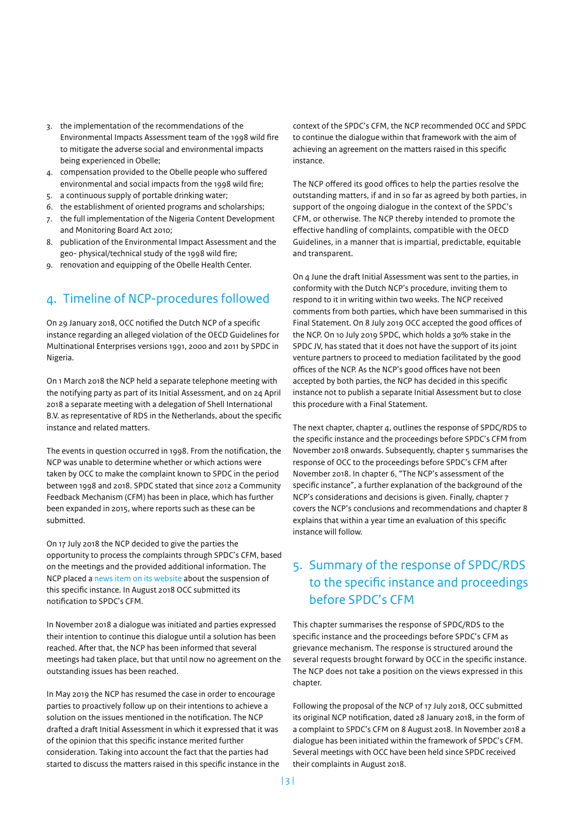- <span id="page-2-0"></span>3. the implementation of the recommendations of the Environmental Impacts Assessment team of the 1998 wild fire to mitigate the adverse social and environmental impacts being experienced in Obelle;
- 4. compensation provided to the Obelle people who suffered environmental and social impacts from the 1998 wild fire;
- 5. a continuous supply of portable drinking water;
- 6. the establishment of oriented programs and scholarships;
- 7. the full implementation of the Nigeria Content Development and Monitoring Board Act 2010;
- 8. publication of the Environmental Impact Assessment and the geo- physical/technical study of the 1998 wild fire;
- 9. renovation and equipping of the Obelle Health Center.

### 4. Timeline of NCP-procedures followed

On 29 January 2018, OCC notified the Dutch NCP of a specific instance regarding an alleged violation of the OECD Guidelines for Multinational Enterprises versions 1991, 2000 and 2011 by SPDC in Nigeria.

On 1 March 2018 the NCP held a separate telephone meeting with the notifying party as part of its Initial Assessment, and on 24 April 2018 a separate meeting with a delegation of Shell International B.V. as representative of RDS in the Netherlands, about the specific instance and related matters.

The events in question occurred in 1998. From the notification, the NCP was unable to determine whether or which actions were taken by OCC to make the complaint known to SPDC in the period between 1998 and 2018. SPDC stated that since 2012 a Community Feedback Mechanism (CFM) has been in place, which has further been expanded in 2015, where reports such as these can be submitted.

On 17 July 2018 the NCP decided to give the parties the opportunity to process the complaints through SPDC's CFM, based on the meetings and the provided additional information. The NCP placed a [news item on its website](https://www.oecdguidelines.nl/notifications/news/2018/07/18/news-from-the-dutch-ncp-about-an-alleged-violation-of-the-oecd-guidelines) about the suspension of this specific instance. In August 2018 OCC submitted its notification to SPDC's CFM.

In November 2018 a dialogue was initiated and parties expressed their intention to continue this dialogue until a solution has been reached. After that, the NCP has been informed that several meetings had taken place, but that until now no agreement on the outstanding issues has been reached.

In May 2019 the NCP has resumed the case in order to encourage parties to proactively follow up on their intentions to achieve a solution on the issues mentioned in the notification. The NCP drafted a draft Initial Assessment in which it expressed that it was of the opinion that this specific instance merited further consideration. Taking into account the fact that the parties had started to discuss the matters raised in this specific instance in the

context of the SPDC's CFM, the NCP recommended OCC and SPDC to continue the dialogue within that framework with the aim of achieving an agreement on the matters raised in this specific instance.

The NCP offered its good offices to help the parties resolve the outstanding matters, if and in so far as agreed by both parties, in support of the ongoing dialogue in the context of the SPDC's CFM, or otherwise. The NCP thereby intended to promote the effective handling of complaints, compatible with the OECD Guidelines, in a manner that is impartial, predictable, equitable and transparent.

On 4 June the draft Initial Assessment was sent to the parties, in conformity with the Dutch NCP's procedure, inviting them to respond to it in writing within two weeks. The NCP received comments from both parties, which have been summarised in this Final Statement. On 8 July 2019 OCC accepted the good offices of the NCP. On 10 July 2019 SPDC, which holds a 30% stake in the SPDC JV, has stated that it does not have the support of its joint venture partners to proceed to mediation facilitated by the good offices of the NCP. As the NCP's good offices have not been accepted by both parties, the NCP has decided in this specific instance not to publish a separate Initial Assessment but to close this procedure with a Final Statement.

The next chapter, chapter 4, outlines the response of SPDC/RDS to the specific instance and the proceedings before SPDC's CFM from November 2018 onwards. Subsequently, chapter 5 summarises the response of OCC to the proceedings before SPDC's CFM after November 2018. In chapter 6, "The NCP's assessment of the specific instance", a further explanation of the background of the NCP's considerations and decisions is given. Finally, chapter 7 covers the NCP's conclusions and recommendations and chapter 8 explains that within a year time an evaluation of this specific instance will follow.

### 5. Summary of the response of SPDC/RDS to the specific instance and proceedings before SPDC's CFM

This chapter summarises the response of SPDC/RDS to the specific instance and the proceedings before SPDC's CFM as grievance mechanism. The response is structured around the several requests brought forward by OCC in the specific instance. The NCP does not take a position on the views expressed in this chapter.

Following the proposal of the NCP of 17 July 2018, OCC submitted its original NCP notification, dated 28 January 2018, in the form of a complaint to SPDC's CFM on 8 August 2018. In November 2018 a dialogue has been initiated within the framework of SPDC's CFM. Several meetings with OCC have been held since SPDC received their complaints in August 2018.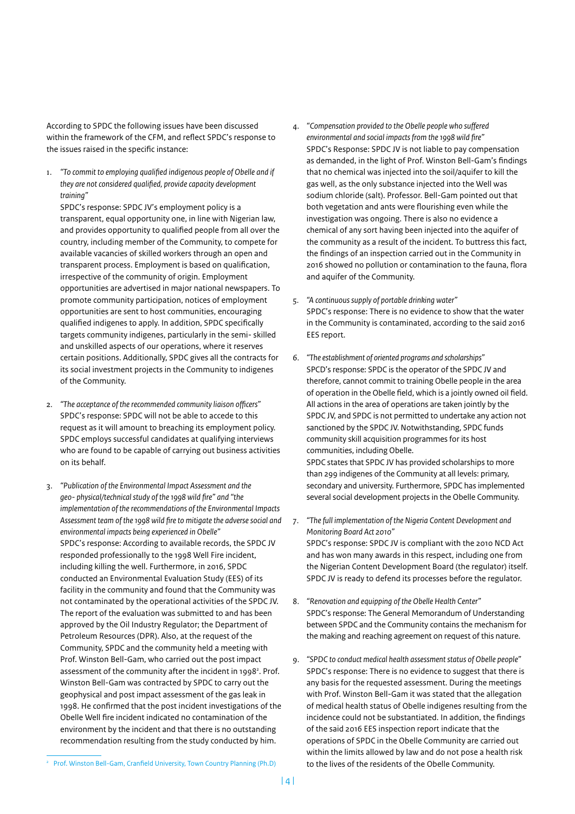According to SPDC the following issues have been discussed within the framework of the CFM, and reflect SPDC's response to the issues raised in the specific instance:

1. *"To commit to employing qualified indigenous people of Obelle and if they are not considered qualified, provide capacity development training"*

SPDC's response: SPDC JV's employment policy is a transparent, equal opportunity one, in line with Nigerian law, and provides opportunity to qualified people from all over the country, including member of the Community, to compete for available vacancies of skilled workers through an open and transparent process. Employment is based on qualification, irrespective of the community of origin. Employment opportunities are advertised in major national newspapers. To promote community participation, notices of employment opportunities are sent to host communities, encouraging qualified indigenes to apply. In addition, SPDC specifically targets community indigenes, particularly in the semi- skilled and unskilled aspects of our operations, where it reserves certain positions. Additionally, SPDC gives all the contracts for its social investment projects in the Community to indigenes of the Community.

- 2. *"The acceptance of the recommended community liaison officers"*  SPDC's response: SPDC will not be able to accede to this request as it will amount to breaching its employment policy. SPDC employs successful candidates at qualifying interviews who are found to be capable of carrying out business activities on its behalf.
- 3. *"Publication of the Environmental Impact Assessment and the geo- physical/technical study of the 1998 wild fire" and "the implementation of the recommendations of the Environmental Impacts Assessment team of the 1998 wild fire to mitigate the adverse social and environmental impacts being experienced in Obelle"* SPDC's response: According to available records, the SPDC JV responded professionally to the 1998 Well Fire incident, including killing the well. Furthermore, in 2016, SPDC conducted an Environmental Evaluation Study (EES) of its facility in the community and found that the Community was not contaminated by the operational activities of the SPDC JV. The report of the evaluation was submitted to and has been approved by the Oil Industry Regulator; the Department of Petroleum Resources (DPR). Also, at the request of the Community, SPDC and the community held a meeting with Prof. Winston Bell-Gam, who carried out the post impact assessment of the community after the incident in 1998<sup>2</sup>. Prof. Winston Bell-Gam was contracted by SPDC to carry out the geophysical and post impact assessment of the gas leak in 1998. He confirmed that the post incident investigations of the Obelle Well fire incident indicated no contamination of the environment by the incident and that there is no outstanding recommendation resulting from the study conducted by him.
- 4. *"Compensation provided to the Obelle people who suffered environmental and social impacts from the 1998 wild fire"* SPDC's Response: SPDC JV is not liable to pay compensation as demanded, in the light of Prof. Winston Bell-Gam's findings that no chemical was injected into the soil/aquifer to kill the gas well, as the only substance injected into the Well was sodium chloride (salt). Professor. Bell-Gam pointed out that both vegetation and ants were flourishing even while the investigation was ongoing. There is also no evidence a chemical of any sort having been injected into the aquifer of the community as a result of the incident. To buttress this fact, the findings of an inspection carried out in the Community in 2016 showed no pollution or contamination to the fauna, flora and aquifer of the Community.
- 5. *"A continuous supply of portable drinking water"* SPDC's response: There is no evidence to show that the water in the Community is contaminated, according to the said 2016 EES report.
- 6. *"The establishment of oriented programs and scholarships"* SPCD's response: SPDC is the operator of the SPDC JV and therefore, cannot commit to training Obelle people in the area of operation in the Obelle field, which is a jointly owned oil field. All actions in the area of operations are taken jointly by the SPDC JV, and SPDC is not permitted to undertake any action not sanctioned by the SPDC JV. Notwithstanding, SPDC funds community skill acquisition programmes for its host communities, including Obelle. SPDC states that SPDC JV has provided scholarships to more than 299 indigenes of the Community at all levels: primary, secondary and university. Furthermore, SPDC has implemented several social development projects in the Obelle Community.
- 7. *"The full implementation of the Nigeria Content Development and Monitoring Board Act 2010"* SPDC's response: SPDC JV is compliant with the 2010 NCD Act and has won many awards in this respect, including one from the Nigerian Content Development Board (the regulator) itself. SPDC JV is ready to defend its processes before the regulator.
- 8. *"Renovation and equipping of the Obelle Health Center"*  SPDC's response: The General Memorandum of Understanding between SPDC and the Community contains the mechanism for the making and reaching agreement on request of this nature.
- 9. *"SPDC to conduct medical health assessment status of Obelle people"* SPDC's response: There is no evidence to suggest that there is any basis for the requested assessment. During the meetings with Prof. Winston Bell-Gam it was stated that the allegation of medical health status of Obelle indigenes resulting from the incidence could not be substantiated. In addition, the findings of the said 2016 EES inspection report indicate that the operations of SPDC in the Obelle Community are carried out within the limits allowed by law and do not pose a health risk to the lives of the residents of the Obelle Community.

<sup>&</sup>lt;sup>2</sup> Prof. Winston Bell-Gam, Cranfield University, Town Country Planning (Ph.D)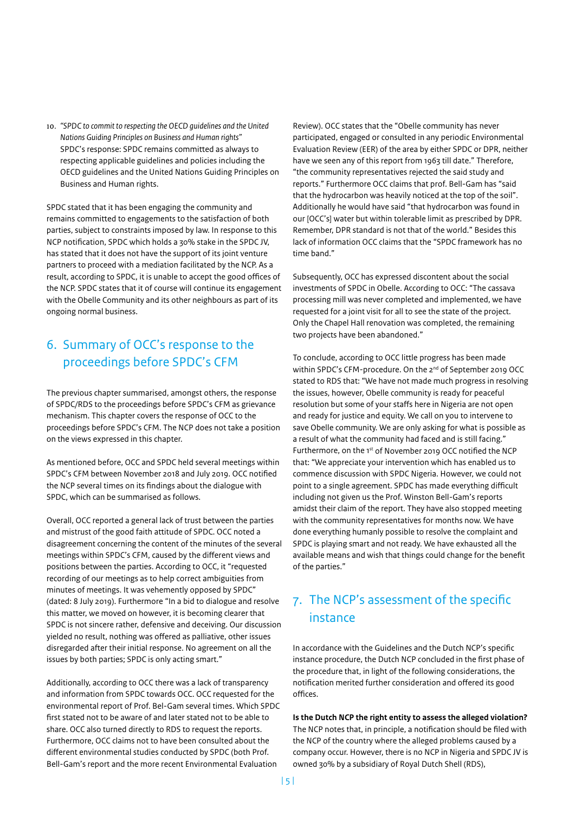<span id="page-4-0"></span>10. *"SPDC to commit to respecting the OECD guidelines and the United Nations Guiding Principles on Business and Human rights"*  SPDC's response: SPDC remains committed as always to respecting applicable guidelines and policies including the OECD guidelines and the United Nations Guiding Principles on Business and Human rights.

SPDC stated that it has been engaging the community and remains committed to engagements to the satisfaction of both parties, subject to constraints imposed by law. In response to this NCP notification, SPDC which holds a 30% stake in the SPDC JV, has stated that it does not have the support of its joint venture partners to proceed with a mediation facilitated by the NCP. As a result, according to SPDC, it is unable to accept the good offices of the NCP. SPDC states that it of course will continue its engagement with the Obelle Community and its other neighbours as part of its ongoing normal business.

### 6. Summary of OCC's response to the proceedings before SPDC's CFM

The previous chapter summarised, amongst others, the response of SPDC/RDS to the proceedings before SPDC's CFM as grievance mechanism. This chapter covers the response of OCC to the proceedings before SPDC's CFM. The NCP does not take a position on the views expressed in this chapter.

As mentioned before, OCC and SPDC held several meetings within SPDC's CFM between November 2018 and July 2019. OCC notified the NCP several times on its findings about the dialogue with SPDC, which can be summarised as follows.

Overall, OCC reported a general lack of trust between the parties and mistrust of the good faith attitude of SPDC. OCC noted a disagreement concerning the content of the minutes of the several meetings within SPDC's CFM, caused by the different views and positions between the parties. According to OCC, it "requested recording of our meetings as to help correct ambiguities from minutes of meetings. It was vehemently opposed by SPDC" (dated: 8 July 2019). Furthermore "In a bid to dialogue and resolve this matter, we moved on however, it is becoming clearer that SPDC is not sincere rather, defensive and deceiving. Our discussion yielded no result, nothing was offered as palliative, other issues disregarded after their initial response. No agreement on all the issues by both parties; SPDC is only acting smart."

Additionally, according to OCC there was a lack of transparency and information from SPDC towards OCC. OCC requested for the environmental report of Prof. Bel-Gam several times. Which SPDC first stated not to be aware of and later stated not to be able to share. OCC also turned directly to RDS to request the reports. Furthermore, OCC claims not to have been consulted about the different environmental studies conducted by SPDC (both Prof. Bell-Gam's report and the more recent Environmental Evaluation

Review). OCC states that the "Obelle community has never participated, engaged or consulted in any periodic Environmental Evaluation Review (EER) of the area by either SPDC or DPR, neither have we seen any of this report from 1963 till date." Therefore, "the community representatives rejected the said study and reports." Furthermore OCC claims that prof. Bell-Gam has "said that the hydrocarbon was heavily noticed at the top of the soil". Additionally he would have said "that hydrocarbon was found in our [OCC's] water but within tolerable limit as prescribed by DPR. Remember, DPR standard is not that of the world." Besides this lack of information OCC claims that the "SPDC framework has no time band."

Subsequently, OCC has expressed discontent about the social investments of SPDC in Obelle. According to OCC: "The cassava processing mill was never completed and implemented, we have requested for a joint visit for all to see the state of the project. Only the Chapel Hall renovation was completed, the remaining two projects have been abandoned."

To conclude, according to OCC little progress has been made within SPDC's CFM-procedure. On the 2<sup>nd</sup> of September 2019 OCC stated to RDS that: "We have not made much progress in resolving the issues, however, Obelle community is ready for peaceful resolution but some of your staffs here in Nigeria are not open and ready for justice and equity. We call on you to intervene to save Obelle community. We are only asking for what is possible as a result of what the community had faced and is still facing." Furthermore, on the 1st of November 2019 OCC notified the NCP that: "We appreciate your intervention which has enabled us to commence discussion with SPDC Nigeria. However, we could not point to a single agreement. SPDC has made everything difficult including not given us the Prof. Winston Bell-Gam's reports amidst their claim of the report. They have also stopped meeting with the community representatives for months now. We have done everything humanly possible to resolve the complaint and SPDC is playing smart and not ready. We have exhausted all the available means and wish that things could change for the benefit of the parties."

### 7. The NCP's assessment of the specific instance

In accordance with the Guidelines and the Dutch NCP's specific instance procedure, the Dutch NCP concluded in the first phase of the procedure that, in light of the following considerations, the notification merited further consideration and offered its good offices.

**Is the Dutch NCP the right entity to assess the alleged violation?** The NCP notes that, in principle, a notification should be filed with the NCP of the country where the alleged problems caused by a company occur. However, there is no NCP in Nigeria and SPDC JV is owned 30% by a subsidiary of Royal Dutch Shell (RDS),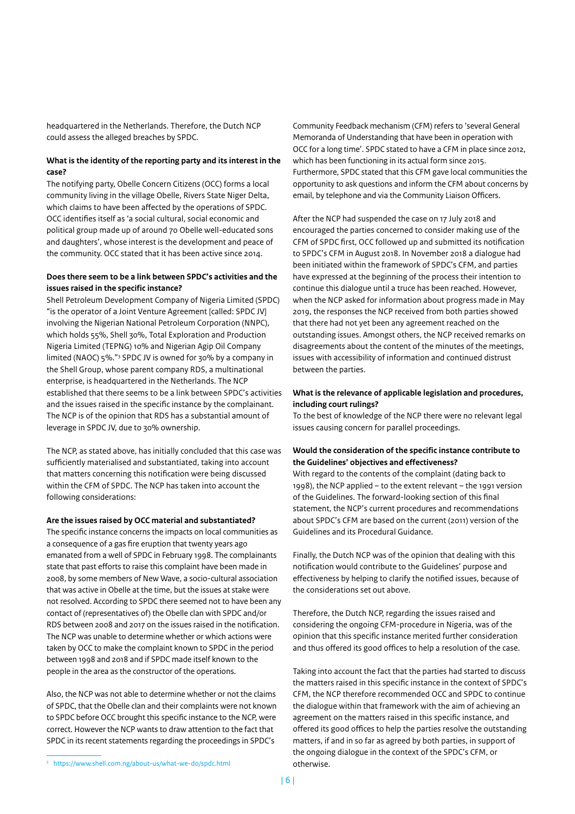headquartered in the Netherlands. Therefore, the Dutch NCP could assess the alleged breaches by SPDC.

#### **What is the identity of the reporting party and its interest in the case?**

The notifying party, Obelle Concern Citizens (OCC) forms a local community living in the village Obelle, Rivers State Niger Delta, which claims to have been affected by the operations of SPDC. OCC identifies itself as 'a social cultural, social economic and political group made up of around 70 Obelle well-educated sons and daughters', whose interest is the development and peace of the community. OCC stated that it has been active since 2014.

#### **Does there seem to be a link between SPDC's activities and the issues raised in the specific instance?**

Shell Petroleum Development Company of Nigeria Limited (SPDC) "is the operator of a Joint Venture Agreement [called: SPDC JV] involving the Nigerian National Petroleum Corporation (NNPC), which holds 55%, Shell 30%, Total Exploration and Production Nigeria Limited (TEPNG) 10% and Nigerian Agip Oil Company limited (NAOC) 5%."3 SPDC JV is owned for 30% by a company in the Shell Group, whose parent company RDS, a multinational enterprise, is headquartered in the Netherlands. The NCP established that there seems to be a link between SPDC's activities and the issues raised in the specific instance by the complainant. The NCP is of the opinion that RDS has a substantial amount of leverage in SPDC JV, due to 30% ownership.

The NCP, as stated above, has initially concluded that this case was sufficiently materialised and substantiated, taking into account that matters concerning this notification were being discussed within the CFM of SPDC. The NCP has taken into account the following considerations:

#### **Are the issues raised by OCC material and substantiated?**

The specific instance concerns the impacts on local communities as a consequence of a gas fire eruption that twenty years ago emanated from a well of SPDC in February 1998. The complainants state that past efforts to raise this complaint have been made in 2008, by some members of New Wave, a socio-cultural association that was active in Obelle at the time, but the issues at stake were not resolved. According to SPDC there seemed not to have been any contact of (representatives of) the Obelle clan with SPDC and/or RDS between 2008 and 2017 on the issues raised in the notification. The NCP was unable to determine whether or which actions were taken by OCC to make the complaint known to SPDC in the period between 1998 and 2018 and if SPDC made itself known to the people in the area as the constructor of the operations.

Also, the NCP was not able to determine whether or not the claims of SPDC, that the Obelle clan and their complaints were not known to SPDC before OCC brought this specific instance to the NCP, were correct. However the NCP wants to draw attention to the fact that SPDC in its recent statements regarding the proceedings in SPDC's

<sup>3</sup> <https://www.shell.com.ng/about-us/what-we-do/spdc.html>

Community Feedback mechanism (CFM) refers to 'several General Memoranda of Understanding that have been in operation with OCC for a long time'. SPDC stated to have a CFM in place since 2012, which has been functioning in its actual form since 2015. Furthermore, SPDC stated that this CFM gave local communities the opportunity to ask questions and inform the CFM about concerns by email, by telephone and via the Community Liaison Officers.

After the NCP had suspended the case on 17 July 2018 and encouraged the parties concerned to consider making use of the CFM of SPDC first, OCC followed up and submitted its notification to SPDC's CFM in August 2018. In November 2018 a dialogue had been initiated within the framework of SPDC's CFM, and parties have expressed at the beginning of the process their intention to continue this dialogue until a truce has been reached. However, when the NCP asked for information about progress made in May 2019, the responses the NCP received from both parties showed that there had not yet been any agreement reached on the outstanding issues. Amongst others, the NCP received remarks on disagreements about the content of the minutes of the meetings, issues with accessibility of information and continued distrust between the parties.

#### **What is the relevance of applicable legislation and procedures, including court rulings?**

To the best of knowledge of the NCP there were no relevant legal issues causing concern for parallel proceedings.

#### **Would the consideration of the specific instance contribute to the Guidelines' objectives and effectiveness?**

With regard to the contents of the complaint (dating back to 1998), the NCP applied – to the extent relevant – the 1991 version of the Guidelines. The forward-looking section of this final statement, the NCP's current procedures and recommendations about SPDC's CFM are based on the current (2011) version of the Guidelines and its Procedural Guidance.

Finally, the Dutch NCP was of the opinion that dealing with this notification would contribute to the Guidelines' purpose and effectiveness by helping to clarify the notified issues, because of the considerations set out above.

Therefore, the Dutch NCP, regarding the issues raised and considering the ongoing CFM-procedure in Nigeria, was of the opinion that this specific instance merited further consideration and thus offered its good offices to help a resolution of the case.

Taking into account the fact that the parties had started to discuss the matters raised in this specific instance in the context of SPDC's CFM, the NCP therefore recommended OCC and SPDC to continue the dialogue within that framework with the aim of achieving an agreement on the matters raised in this specific instance, and offered its good offices to help the parties resolve the outstanding matters, if and in so far as agreed by both parties, in support of the ongoing dialogue in the context of the SPDC's CFM, or otherwise.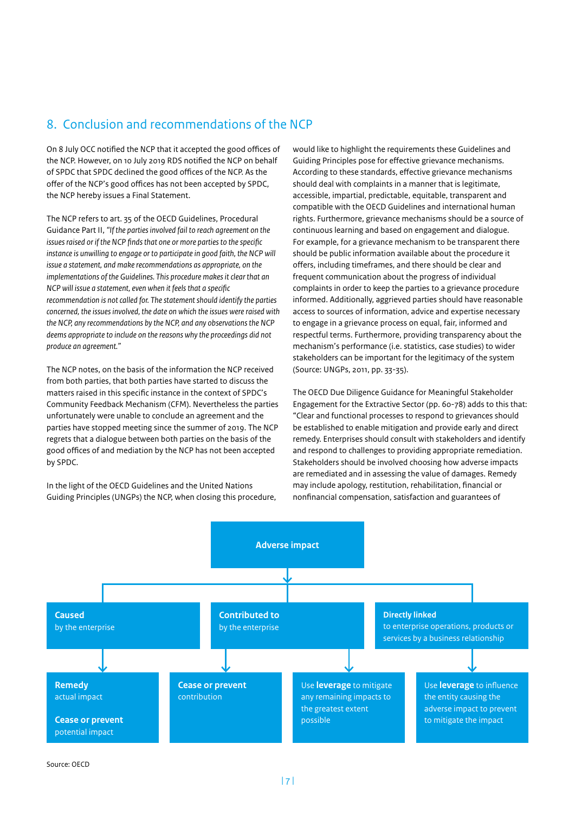#### <span id="page-6-0"></span>8. Conclusion and recommendations of the NCP

On 8 July OCC notified the NCP that it accepted the good offices of the NCP. However, on 10 July 2019 RDS notified the NCP on behalf of SPDC that SPDC declined the good offices of the NCP. As the offer of the NCP's good offices has not been accepted by SPDC, the NCP hereby issues a Final Statement.

The NCP refers to art. 35 of the OECD Guidelines, Procedural Guidance Part II, *"If the parties involved fail to reach agreement on the issues raised or if the NCP finds that one or more parties to the specific instance is unwilling to engage or to participate in good faith, the NCP will issue a statement, and make recommendations as appropriate, on the implementations of the Guidelines. This procedure makes it clear that an NCP will issue a statement, even when it feels that a specific recommendation is not called for. The statement should identify the parties concerned, the issues involved, the date on which the issues were raised with the NCP, any recommendations by the NCP, and any observations the NCP deems appropriate to include on the reasons why the proceedings did not produce an agreement."* 

The NCP notes, on the basis of the information the NCP received from both parties, that both parties have started to discuss the matters raised in this specific instance in the context of SPDC's Community Feedback Mechanism (CFM). Nevertheless the parties unfortunately were unable to conclude an agreement and the parties have stopped meeting since the summer of 2019. The NCP regrets that a dialogue between both parties on the basis of the good offices of and mediation by the NCP has not been accepted by SPDC.

In the light of the OECD Guidelines and the United Nations Guiding Principles (UNGPs) the NCP, when closing this procedure, would like to highlight the requirements these Guidelines and Guiding Principles pose for effective grievance mechanisms. According to these standards, effective grievance mechanisms should deal with complaints in a manner that is legitimate, accessible, impartial, predictable, equitable, transparent and compatible with the OECD Guidelines and international human rights. Furthermore, grievance mechanisms should be a source of continuous learning and based on engagement and dialogue. For example, for a grievance mechanism to be transparent there should be public information available about the procedure it offers, including timeframes, and there should be clear and frequent communication about the progress of individual complaints in order to keep the parties to a grievance procedure informed. Additionally, aggrieved parties should have reasonable access to sources of information, advice and expertise necessary to engage in a grievance process on equal, fair, informed and respectful terms. Furthermore, providing transparency about the mechanism's performance (i.e. statistics, case studies) to wider stakeholders can be important for the legitimacy of the system (Source: UNGPs, 2011, pp. 33-35).

The OECD Due Diligence Guidance for Meaningful Stakeholder Engagement for the Extractive Sector (pp. 60-78) adds to this that: "Clear and functional processes to respond to grievances should be established to enable mitigation and provide early and direct remedy. Enterprises should consult with stakeholders and identify and respond to challenges to providing appropriate remediation. Stakeholders should be involved choosing how adverse impacts are remediated and in assessing the value of damages. Remedy may include apology, restitution, rehabilitation, financial or nonfinancial compensation, satisfaction and guarantees of